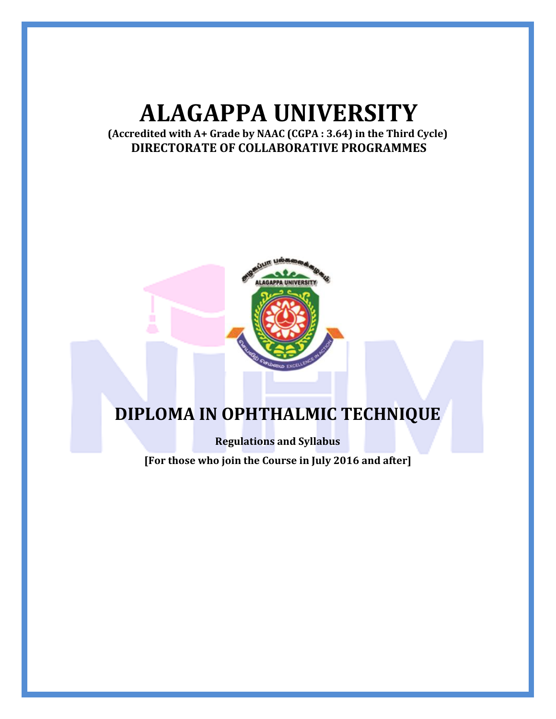# **ALAGAPPA UNIVERSITY**

# **(Accredited with A+ Grade by NAAC (CGPA : 3.64) in the Third Cycle) DIRECTORATE OF COLLABORATIVE PROGRAMMES**



# **DIPLOMA IN OPHTHALMIC TECHNIQUE**

**Regulations and Syllabus**

**[For those who join the Course in July 2016 and after]**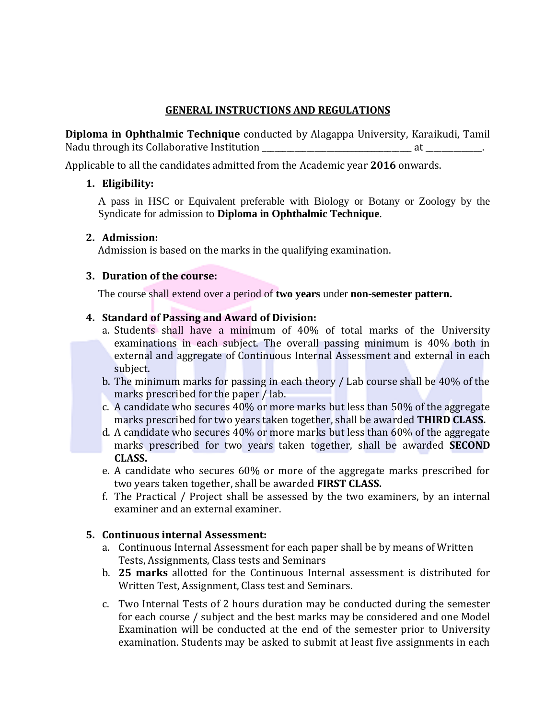# **GENERAL INSTRUCTIONS AND REGULATIONS**

**Diploma in Ophthalmic Technique** conducted by Alagappa University, Karaikudi, Tamil Nadu through its Collaborative Institution  $\qquad \qquad$  at  $\qquad \qquad$ 

Applicable to all the candidates admitted from the Academic year **2016** onwards.

# **1. Eligibility:**

A pass in HSC or Equivalent preferable with Biology or Botany or Zoology by the Syndicate for admission to **Diploma in Ophthalmic Technique**.

# **2. Admission:**

Admission is based on the marks in the qualifying examination.

# **3. Duration of the course:**

The course shall extend over a period of **two years** under **non-semester pattern.**

# **4. Standard of Passing and Award of Division:**

- a. Students shall have a minimum of 40% of total marks of the University examinations in each subject. The overall passing minimum is 40% both in external and aggregate of Continuous Internal Assessment and external in each subject.
- b. The minimum marks for passing in each theory / Lab course shall be 40% of the marks prescribed for the paper / lab.
- c. A candidate who secures 40% or more marks but less than 50% of the aggregate marks prescribed for two years taken together, shall be awarded **THIRD CLASS.**
- d. A candidate who secures 40% or more marks but less than 60% of the aggregate marks prescribed for two years taken together, shall be awarded **SECOND CLASS.**
- e. A candidate who secures 60% or more of the aggregate marks prescribed for two years taken together, shall be awarded **FIRST CLASS.**
- f. The Practical / Project shall be assessed by the two examiners, by an internal examiner and an external examiner.

# **5. Continuous internal Assessment:**

- a. Continuous Internal Assessment for each paper shall be by means of Written Tests, Assignments, Class tests and Seminars
- b. **25 marks** allotted for the Continuous Internal assessment is distributed for Written Test, Assignment, Class test and Seminars.
- c. Two Internal Tests of 2 hours duration may be conducted during the semester for each course / subject and the best marks may be considered and one Model Examination will be conducted at the end of the semester prior to University examination. Students may be asked to submit at least five assignments in each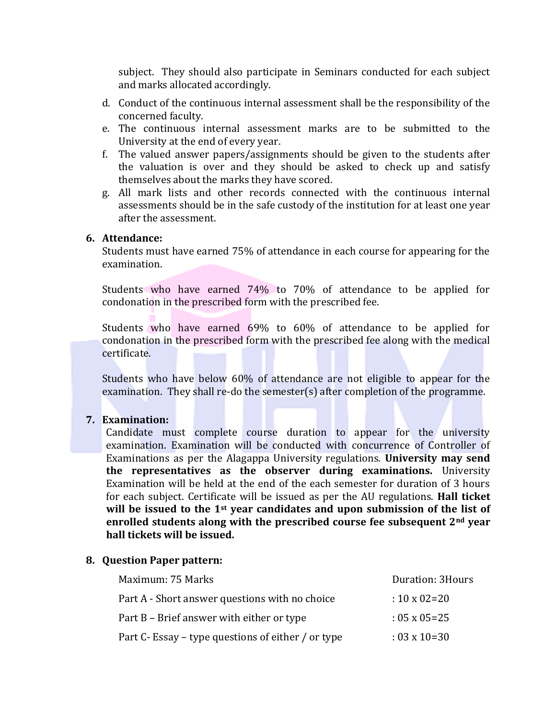subject. They should also participate in Seminars conducted for each subject and marks allocated accordingly.

- d. Conduct of the continuous internal assessment shall be the responsibility of the concerned faculty.
- e. The continuous internal assessment marks are to be submitted to the University at the end of every year.
- f. The valued answer papers/assignments should be given to the students after the valuation is over and they should be asked to check up and satisfy themselves about the marks they have scored.
- g. All mark lists and other records connected with the continuous internal assessments should be in the safe custody of the institution for at least one year after the assessment.

# **6. Attendance:**

Students must have earned 75% of attendance in each course for appearing for the examination.

Students who have earned 74% to 70% of attendance to be applied for condonation in the prescribed form with the prescribed fee.

Students who have earned 69% to 60% of attendance to be applied for condonation in the prescribed form with the prescribed fee along with the medical certificate.

Students who have below 60% of attendance are not eligible to appear for the examination. They shall re-do the semester(s) after completion of the programme.

# **7. Examination:**

Candidate must complete course duration to appear for the university examination. Examination will be conducted with concurrence of Controller of Examinations as per the Alagappa University regulations. **University may send the representatives as the observer during examinations.** University Examination will be held at the end of the each semester for duration of 3 hours for each subject. Certificate will be issued as per the AU regulations. **Hall ticket will be issued to the 1st year candidates and upon submission of the list of enrolled students along with the prescribed course fee subsequent 2nd year hall tickets will be issued.**

# **8. Question Paper pattern:**

| Maximum: 75 Marks                                  | <b>Duration: 3Hours</b> |
|----------------------------------------------------|-------------------------|
| Part A - Short answer questions with no choice     | $: 10 \times 02 = 20$   |
| Part B – Brief answer with either or type          | $: 05 \times 05 = 25$   |
| Part C- Essay – type questions of either / or type | $: 03 \times 10 = 30$   |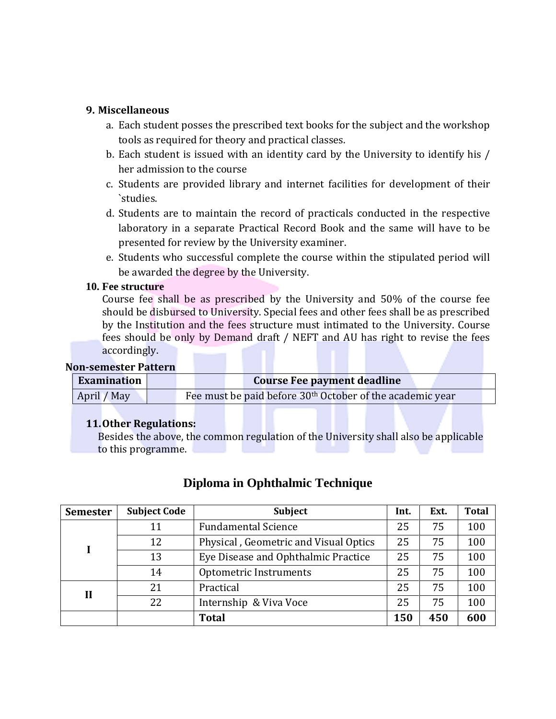# **9. Miscellaneous**

- a. Each student posses the prescribed text books for the subject and the workshop tools as required for theory and practical classes.
- b. Each student is issued with an identity card by the University to identify his / her admission to the course
- c. Students are provided library and internet facilities for development of their `studies.
- d. Students are to maintain the record of practicals conducted in the respective laboratory in a separate Practical Record Book and the same will have to be presented for review by the University examiner.
- e. Students who successful complete the course within the stipulated period will be awarded the degree by the University.

# **10. Fee structure**

Course fee shall be as prescribed by the University and 50% of the course fee should be disbursed to University. Special fees and other fees shall be as prescribed by the Institution and the fees structure must intimated to the University. Course fees should be only by Demand draft / NEFT and AU has right to revise the fees accordingly.

# **Non-semester Pattern**

| <b>Examination</b> | Course Fee payment deadline                                           |
|--------------------|-----------------------------------------------------------------------|
| April / May        | Fee must be paid before 30 <sup>th</sup> October of the academic year |

# **11.Other Regulations:**

Besides the above, the common regulation of the University shall also be applicable to this programme.

# **Diploma in Ophthalmic Technique**

| <b>Semester</b> | <b>Subject Code</b> | <b>Subject</b>                        | Int. | Ext. | <b>Total</b> |
|-----------------|---------------------|---------------------------------------|------|------|--------------|
|                 | 11                  | <b>Fundamental Science</b>            | 25   | 75   | 100          |
|                 | 12                  | Physical, Geometric and Visual Optics | 25   | 75   | 100          |
|                 | 13                  | Eye Disease and Ophthalmic Practice   | 25   | 75   | 100          |
|                 | 14                  | Optometric Instruments                | 25   | 75   | 100          |
| $\mathbf{I}$    | 21                  | Practical                             | 25   | 75   | 100          |
|                 | 22                  | Internship & Viva Voce                | 25   | 75   | 100          |
|                 |                     | <b>Total</b>                          | 150  | 450  | 600          |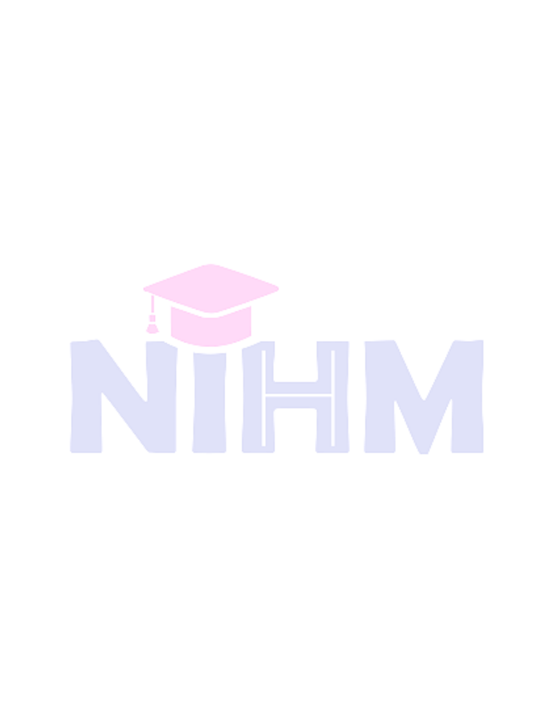# VIHM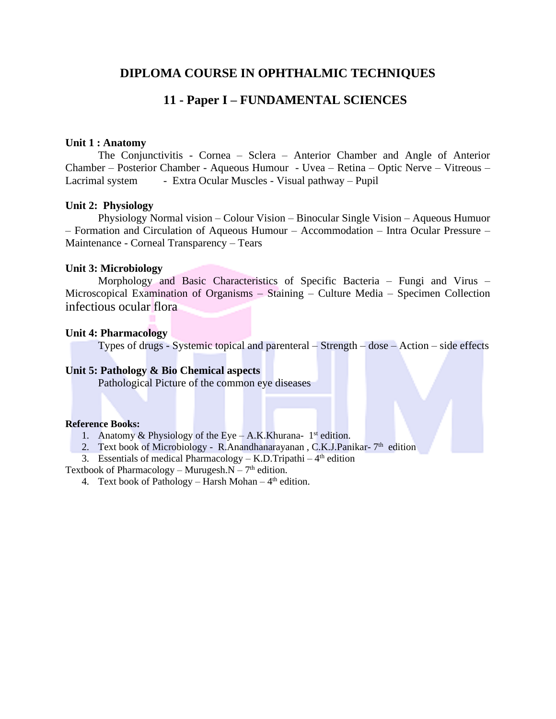# **DIPLOMA COURSE IN OPHTHALMIC TECHNIQUES**

# **11 - Paper I – FUNDAMENTAL SCIENCES**

#### **Unit 1 : Anatomy**

The Conjunctivitis - Cornea – Sclera – Anterior Chamber and Angle of Anterior Chamber – Posterior Chamber - Aqueous Humour - Uvea – Retina – Optic Nerve – Vitreous – Lacrimal system - Extra Ocular Muscles - Visual pathway – Pupil

#### **Unit 2: Physiology**

Physiology Normal vision – Colour Vision – Binocular Single Vision – Aqueous Humuor – Formation and Circulation of Aqueous Humour – Accommodation – Intra Ocular Pressure – Maintenance - Corneal Transparency – Tears

#### **Unit 3: Microbiology**

Morphology and Basic Characteristics of Specific Bacteria – Fungi and Virus – Microscopical Examination of Organisms – Staining – Culture Media – Specimen Collection infectious ocular flora

#### **Unit 4: Pharmacology**

Types of drugs - Systemic topical and parenteral – Strength – dose – Action – side effects

#### **Unit 5: Pathology & Bio Chemical aspects**

Pathological Picture of the common eye diseases

#### **Reference Books:**

1. Anatomy & Physiology of the Eye  $-$  A.K.Khurana- 1<sup>st</sup> edition.

2. Text book of Microbiology - R.Anandhanarayanan, C.K.J.Panikar-7<sup>th</sup> edition

3. Essentials of medical Pharmacology  $-$  K.D. Tripathi  $-4<sup>th</sup>$  edition

Textbook of Pharmacology – Murugesh. $N - 7<sup>th</sup>$  edition.

4. Text book of Pathology – Harsh Mohan –  $4<sup>th</sup>$  edition.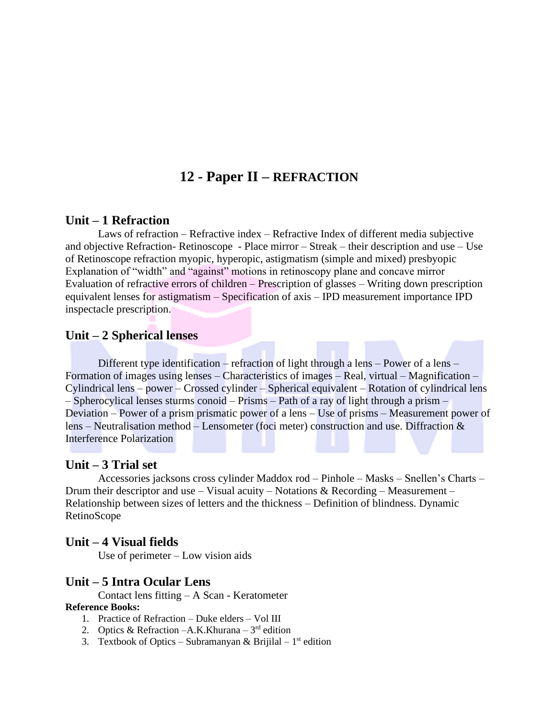# **12 - Paper II – REFRACTION**

# **Unit – 1 Refraction**

Laws of refraction – Refractive index – Refractive Index of different media subjective and objective Refraction- Retinoscope - Place mirror – Streak – their description and use – Use of Retinoscope refraction myopic, hyperopic, astigmatism (simple and mixed) presbyopic Explanation of "width" and "against" motions in retinoscopy plane and concave mirror Evaluation of refractive errors of children – Prescription of glasses – Writing down prescription equivalent lenses for astigmatism – Specification of axis – IPD measurement importance IPD inspectacle prescription.

# **Unit – 2 Spherical lenses**

Different type identification – refraction of light through a lens – Power of a lens – Formation of images using lenses – Characteristics of images – Real, virtual – Magnification – Cylindrical lens – power – Crossed cylinder – Spherical equivalent – Rotation of cylindrical lens – Spherocylical lenses sturms conoid – Prisms – Path of a ray of light through a prism – Deviation – Power of a prism prismatic power of a lens – Use of prisms – Measurement power of lens – Neutralisation method – Lensometer (foci meter) construction and use. Diffraction & Interference Polarization

# **Unit – 3 Trial set**

Accessories jacksons cross cylinder Maddox rod – Pinhole – Masks – Snellen's Charts – Drum their descriptor and use – Visual acuity – Notations & Recording – Measurement – Relationship between sizes of letters and the thickness – Definition of blindness. Dynamic RetinoScope

#### **Unit – 4 Visual fields**

Use of perimeter – Low vision aids

# **Unit – 5 Intra Ocular Lens**

Contact lens fitting – A Scan - Keratometer

#### **Reference Books:**

- 1. Practice of Refraction Duke elders Vol III
- 2. Optics & Refraction  $-A.K.K$ hurana  $-3<sup>rd</sup>$  edition
- 3. Textbook of Optics Subramanyan & Brijilal  $1<sup>st</sup>$  edition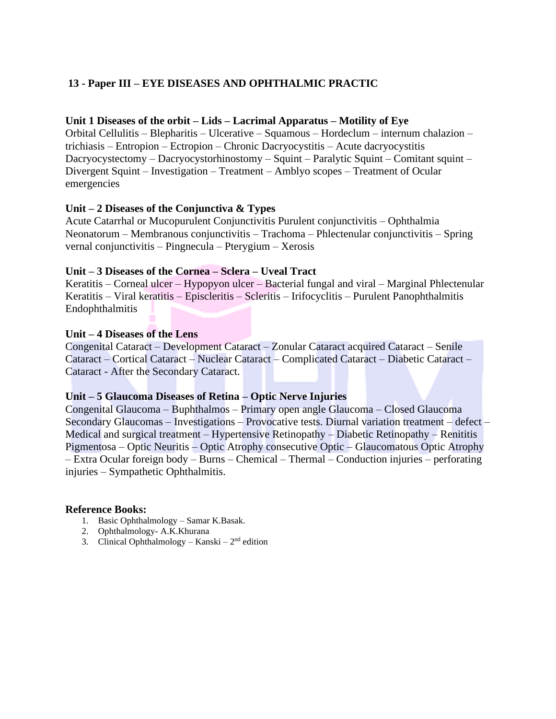# **13 - Paper III – EYE DISEASES AND OPHTHALMIC PRACTIC**

# **Unit 1 Diseases of the orbit – Lids – Lacrimal Apparatus – Motility of Eye**

Orbital Cellulitis – Blepharitis – Ulcerative – Squamous – Hordeclum – internum chalazion – trichiasis – Entropion – Ectropion – Chronic Dacryocystitis – Acute dacryocystitis Dacryocystectomy – Dacryocystorhinostomy – Squint – Paralytic Squint – Comitant squint – Divergent Squint – Investigation – Treatment – Amblyo scopes – Treatment of Ocular emergencies

#### **Unit – 2 Diseases of the Conjunctiva & Types**

Acute Catarrhal or Mucopurulent Conjunctivitis Purulent conjunctivitis – Ophthalmia Neonatorum – Membranous conjunctivitis – Trachoma – Phlectenular conjunctivitis – Spring vernal conjunctivitis – Pingnecula – Pterygium – Xerosis

#### **Unit – 3 Diseases of the Cornea – Sclera – Uveal Tract**

Keratitis – Corneal ulcer – Hypopyon ulcer – Bacterial fungal and viral – Marginal Phlectenular Keratitis – Viral keratitis – Episcleritis – Scleritis – Irifocyclitis – Purulent Panophthalmitis Endophthalmitis

#### **Unit – 4 Diseases of the Lens**

Congenital Cataract – Development Cataract – Zonular Cataract acquired Cataract – Senile Cataract – Cortical Cataract – Nuclear Cataract – Complicated Cataract – Diabetic Cataract – Cataract - After the Secondary Cataract.

#### **Unit – 5 Glaucoma Diseases of Retina – Optic Nerve Injuries**

Congenital Glaucoma – Buphthalmos – Primary open angle Glaucoma – Closed Glaucoma Secondary Glaucomas – Investigations – Provocative tests. Diurnal variation treatment – defect – Medical and surgical treatment – Hypertensive Retinopathy – Diabetic Retinopathy – Renititis Pigmentosa – Optic Neuritis – Optic Atrophy consecutive Optic – Glaucomatous Optic Atrophy – Extra Ocular foreign body – Burns – Chemical – Thermal – Conduction injuries – perforating injuries – Sympathetic Ophthalmitis.

#### **Reference Books:**

- 1. Basic Ophthalmology Samar K.Basak.
- 2. Ophthalmology- A.K.Khurana
- 3. Clinical Ophthalmology Kanski  $2<sup>nd</sup>$  edition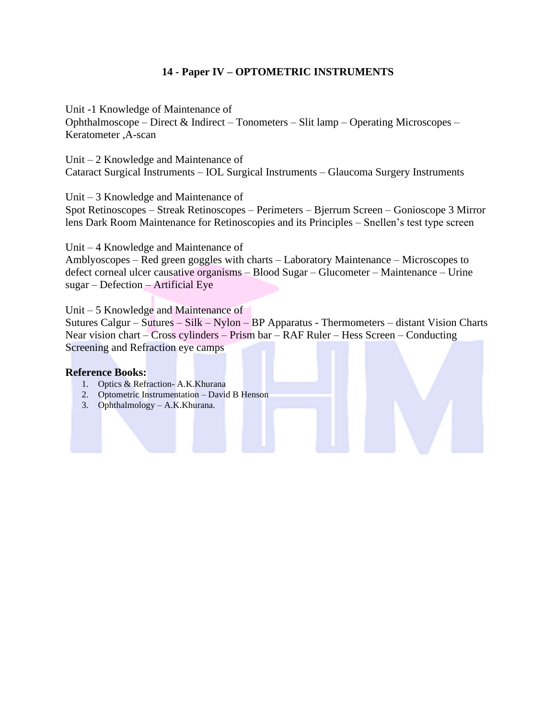# **14 - Paper IV – OPTOMETRIC INSTRUMENTS**

Unit -1 Knowledge of Maintenance of

Ophthalmoscope – Direct & Indirect – Tonometers – Slit lamp – Operating Microscopes – Keratometer ,A-scan

Unit – 2 Knowledge and Maintenance of Cataract Surgical Instruments – IOL Surgical Instruments – Glaucoma Surgery Instruments

Unit – 3 Knowledge and Maintenance of

Spot Retinoscopes – Streak Retinoscopes – Perimeters – Bjerrum Screen – Gonioscope 3 Mirror lens Dark Room Maintenance for Retinoscopies and its Principles – Snellen's test type screen

Unit – 4 Knowledge and Maintenance of Amblyoscopes – Red green goggles with charts – Laboratory Maintenance – Microscopes to defect corneal ulcer causative organisms – Blood Sugar – Glucometer – Maintenance – Urine sugar – Defection – Artificial Eye

Unit – 5 Knowledge and Maintenance of

Sutures Calgur – Sutures – Silk – Nylon – BP Apparatus - Thermometers – distant Vision Charts Near vision chart – Cross cylinders – Prism bar – RAF Ruler – Hess Screen – Conducting Screening and Refraction eye camps

#### **Reference Books:**

- 1. Optics & Refraction- A.K.Khurana
- 2. Optometric Instrumentation David B Henson
- 3. Ophthalmology A.K.Khurana.